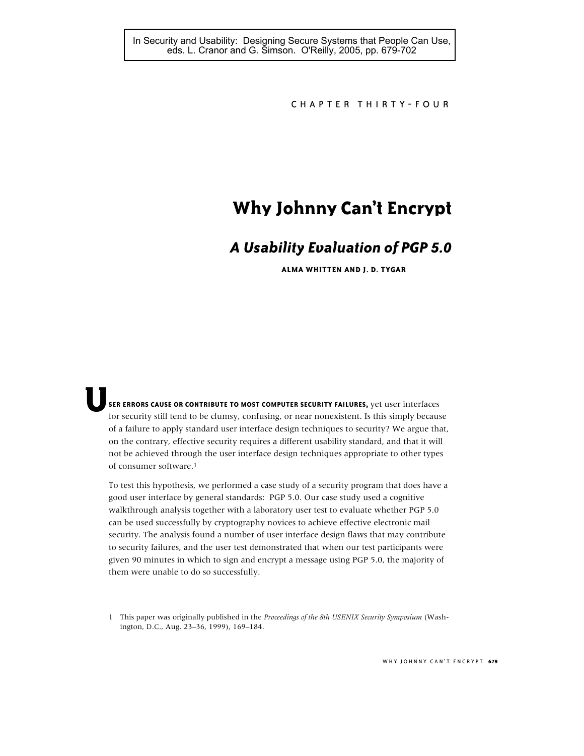### CHAPTER THIRTY - FOUR

# **Why Johnny Can't Encrypt**

# *A Usability Evaluation of PGP 5.0*

**ALMA WHITTEN AND J. D. TYGAR**

**SER ERRORS CAUSE OR CONTRIBUTE TO MOST COMPUTER SECURITY FAILURES,** yet user interfaces for security still tend to be clumsy, confusing, or near nonexistent. Is this simply because of a failure to apply standard user interface design techniques to security? We argue that, on the contrary, effective security requires a different usability standard, and that it will not be achieved through the user interface design techniques appropriate to other types of consumer software.1 **U**

To test this hypothesis, we performed a case study of a security program that does have a good user interface by general standards: PGP 5.0. Our case study used a cognitive walkthrough analysis together with a laboratory user test to evaluate whether PGP 5.0 can be used successfully by cryptography novices to achieve effective electronic mail security. The analysis found a number of user interface design flaws that may contribute to security failures, and the user test demonstrated that when our test participants were given 90 minutes in which to sign and encrypt a message using PGP 5.0, the majority of them were unable to do so successfully.

1 This paper was originally published in the *Proceedings of the 8th USENIX Security Symposium* (Washington, D.C., Aug. 23–36, 1999), 169–184.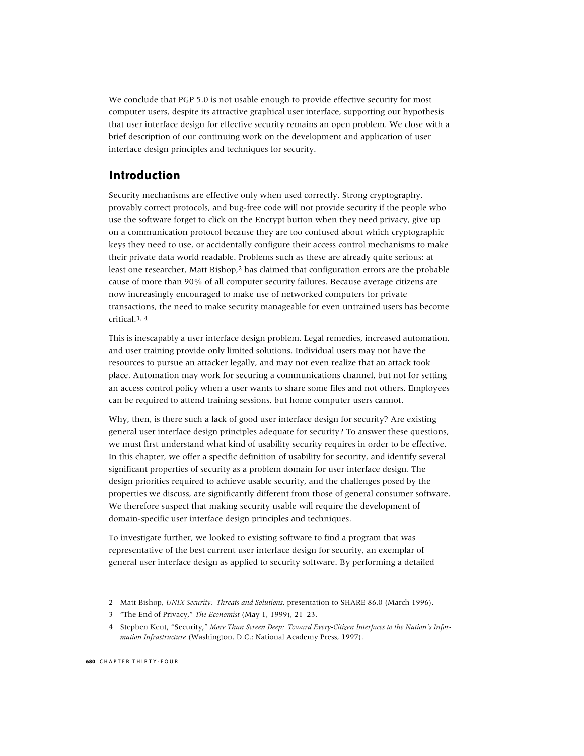We conclude that PGP 5.0 is not usable enough to provide effective security for most computer users, despite its attractive graphical user interface, supporting our hypothesis that user interface design for effective security remains an open problem. We close with a brief description of our continuing work on the development and application of user interface design principles and techniques for security.

# **Introduction**

Security mechanisms are effective only when used correctly. Strong cryptography, provably correct protocols, and bug-free code will not provide security if the people who use the software forget to click on the Encrypt button when they need privacy, give up on a communication protocol because they are too confused about which cryptographic keys they need to use, or accidentally configure their access control mechanisms to make their private data world readable. Problems such as these are already quite serious: at least one researcher, Matt Bishop,2 has claimed that configuration errors are the probable cause of more than 90% of all computer security failures. Because average citizens are now increasingly encouraged to make use of networked computers for private transactions, the need to make security manageable for even untrained users has become critical.3, 4

This is inescapably a user interface design problem. Legal remedies, increased automation, and user training provide only limited solutions. Individual users may not have the resources to pursue an attacker legally, and may not even realize that an attack took place. Automation may work for securing a communications channel, but not for setting an access control policy when a user wants to share some files and not others. Employees can be required to attend training sessions, but home computer users cannot.

Why, then, is there such a lack of good user interface design for security? Are existing general user interface design principles adequate for security? To answer these questions, we must first understand what kind of usability security requires in order to be effective. In this chapter, we offer a specific definition of usability for security, and identify several significant properties of security as a problem domain for user interface design. The design priorities required to achieve usable security, and the challenges posed by the properties we discuss, are significantly different from those of general consumer software. We therefore suspect that making security usable will require the development of domain-specific user interface design principles and techniques.

To investigate further, we looked to existing software to find a program that was representative of the best current user interface design for security, an exemplar of general user interface design as applied to security software. By performing a detailed

- 2 Matt Bishop, *UNIX Security: Threats and Solutions*, presentation to SHARE 86.0 (March 1996).
- 3 "The End of Privacy," *The Economist* (May 1, 1999), 21–23.
- 4 Stephen Kent, "Security," *More Than Screen Deep: Toward Every-Citizen Interfaces to the Nation's Information Infrastructure* (Washington, D.C.: National Academy Press, 1997).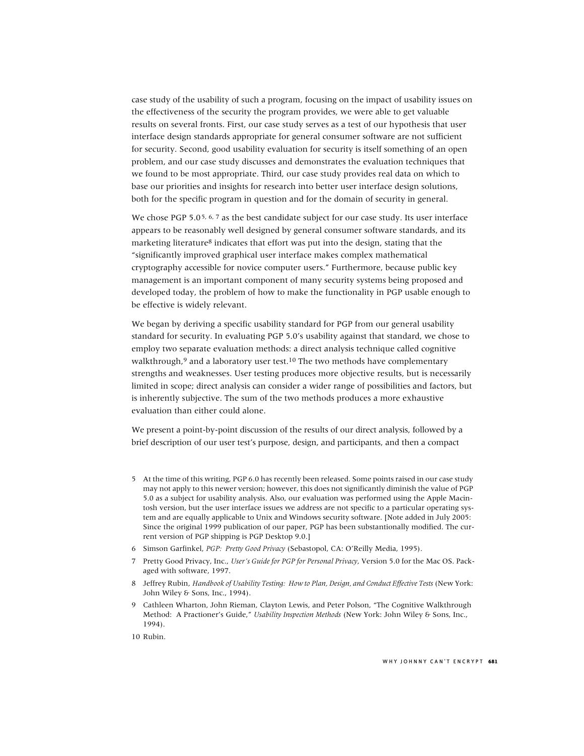case study of the usability of such a program, focusing on the impact of usability issues on the effectiveness of the security the program provides, we were able to get valuable results on several fronts. First, our case study serves as a test of our hypothesis that user interface design standards appropriate for general consumer software are not sufficient for security. Second, good usability evaluation for security is itself something of an open problem, and our case study discusses and demonstrates the evaluation techniques that we found to be most appropriate. Third, our case study provides real data on which to base our priorities and insights for research into better user interface design solutions, both for the specific program in question and for the domain of security in general.

We chose PGP 5.05, 6, 7 as the best candidate subject for our case study. Its user interface appears to be reasonably well designed by general consumer software standards, and its marketing literature<sup>8</sup> indicates that effort was put into the design, stating that the "significantly improved graphical user interface makes complex mathematical cryptography accessible for novice computer users." Furthermore, because public key management is an important component of many security systems being proposed and developed today, the problem of how to make the functionality in PGP usable enough to be effective is widely relevant.

We began by deriving a specific usability standard for PGP from our general usability standard for security. In evaluating PGP 5.0's usability against that standard, we chose to employ two separate evaluation methods: a direct analysis technique called cognitive walkthrough,<sup>9</sup> and a laboratory user test.<sup>10</sup> The two methods have complementary strengths and weaknesses. User testing produces more objective results, but is necessarily limited in scope; direct analysis can consider a wider range of possibilities and factors, but is inherently subjective. The sum of the two methods produces a more exhaustive evaluation than either could alone.

We present a point-by-point discussion of the results of our direct analysis, followed by a brief description of our user test's purpose, design, and participants, and then a compact

- 5 At the time of this writing, PGP 6.0 has recently been released. Some points raised in our case study may not apply to this newer version; however, this does not significantly diminish the value of PGP 5.0 as a subject for usability analysis. Also, our evaluation was performed using the Apple Macintosh version, but the user interface issues we address are not specific to a particular operating system and are equally applicable to Unix and Windows security software. [Note added in July 2005: Since the original 1999 publication of our paper, PGP has been substantionally modified. The current version of PGP shipping is PGP Desktop 9.0.]
- 6 Simson Garfinkel, *PGP: Pretty Good Privacy* (Sebastopol, CA: O'Reilly Media, 1995).
- 7 Pretty Good Privacy, Inc., *User's Guide for PGP for Personal Privacy*, Version 5.0 for the Mac OS. Packaged with software, 1997.
- 8 Jeffrey Rubin, *Handbook of Usability Testing: How to Plan, Design, and Conduct Effective Tests* (New York: John Wiley & Sons, Inc., 1994).
- 9 Cathleen Wharton, John Rieman, Clayton Lewis, and Peter Polson, "The Cognitive Walkthrough Method: A Practioner's Guide," *Usability Inspection Methods* (New York: John Wiley & Sons, Inc., 1994).
- 10 Rubin.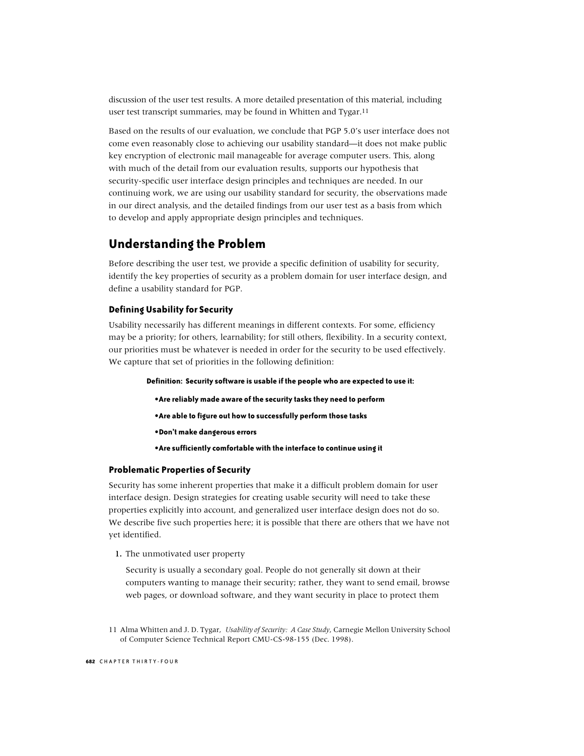discussion of the user test results. A more detailed presentation of this material, including user test transcript summaries, may be found in Whitten and Tygar.<sup>11</sup>

Based on the results of our evaluation, we conclude that PGP 5.0's user interface does not come even reasonably close to achieving our usability standard—it does not make public key encryption of electronic mail manageable for average computer users. This, along with much of the detail from our evaluation results, supports our hypothesis that security-specific user interface design principles and techniques are needed. In our continuing work, we are using our usability standard for security, the observations made in our direct analysis, and the detailed findings from our user test as a basis from which to develop and apply appropriate design principles and techniques.

# **Understanding the Problem**

Before describing the user test, we provide a specific definition of usability for security, identify the key properties of security as a problem domain for user interface design, and define a usability standard for PGP.

### **Defining Usability for Security**

Usability necessarily has different meanings in different contexts. For some, efficiency may be a priority; for others, learnability; for still others, flexibility. In a security context, our priorities must be whatever is needed in order for the security to be used effectively. We capture that set of priorities in the following definition:

**Definition: Security software is usable if the people who are expected to use it:**

- •**Are reliably made aware of the security tasks they need to perform**
- •**Are able to figure out how to successfully perform those tasks**
- •**Don't make dangerous errors**
- •**Are sufficiently comfortable with the interface to continue using it**

#### **Problematic Properties of Security**

Security has some inherent properties that make it a difficult problem domain for user interface design. Design strategies for creating usable security will need to take these properties explicitly into account, and generalized user interface design does not do so. We describe five such properties here; it is possible that there are others that we have not yet identified.

1. The unmotivated user property

Security is usually a secondary goal. People do not generally sit down at their computers wanting to manage their security; rather, they want to send email, browse web pages, or download software, and they want security in place to protect them

11 Alma Whitten and J. D. Tygar, *Usability of Security: A Case Study*, Carnegie Mellon University School of Computer Science Technical Report CMU-CS-98-155 (Dec. 1998).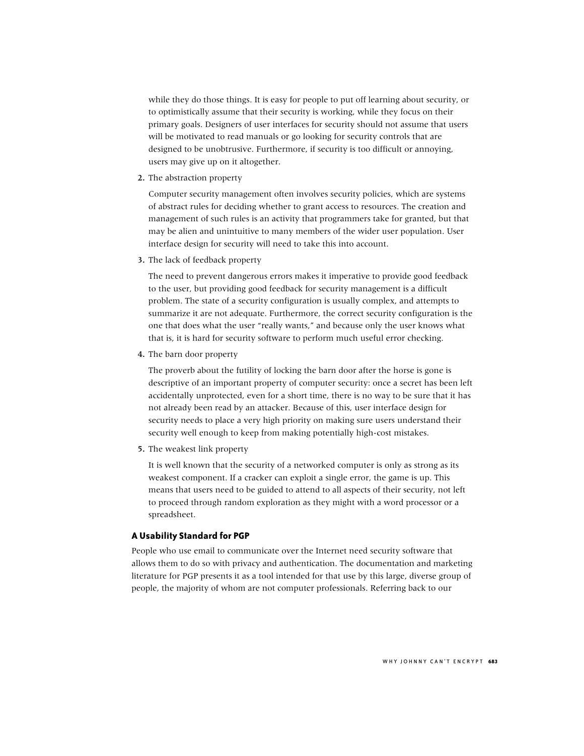while they do those things. It is easy for people to put off learning about security, or to optimistically assume that their security is working, while they focus on their primary goals. Designers of user interfaces for security should not assume that users will be motivated to read manuals or go looking for security controls that are designed to be unobtrusive. Furthermore, if security is too difficult or annoying, users may give up on it altogether.

2. The abstraction property

Computer security management often involves security policies, which are systems of abstract rules for deciding whether to grant access to resources. The creation and management of such rules is an activity that programmers take for granted, but that may be alien and unintuitive to many members of the wider user population. User interface design for security will need to take this into account.

3. The lack of feedback property

The need to prevent dangerous errors makes it imperative to provide good feedback to the user, but providing good feedback for security management is a difficult problem. The state of a security configuration is usually complex, and attempts to summarize it are not adequate. Furthermore, the correct security configuration is the one that does what the user "really wants," and because only the user knows what that is, it is hard for security software to perform much useful error checking.

4. The barn door property

The proverb about the futility of locking the barn door after the horse is gone is descriptive of an important property of computer security: once a secret has been left accidentally unprotected, even for a short time, there is no way to be sure that it has not already been read by an attacker. Because of this, user interface design for security needs to place a very high priority on making sure users understand their security well enough to keep from making potentially high-cost mistakes.

5. The weakest link property

It is well known that the security of a networked computer is only as strong as its weakest component. If a cracker can exploit a single error, the game is up. This means that users need to be guided to attend to all aspects of their security, not left to proceed through random exploration as they might with a word processor or a spreadsheet.

### **A Usability Standard for PGP**

People who use email to communicate over the Internet need security software that allows them to do so with privacy and authentication. The documentation and marketing literature for PGP presents it as a tool intended for that use by this large, diverse group of people, the majority of whom are not computer professionals. Referring back to our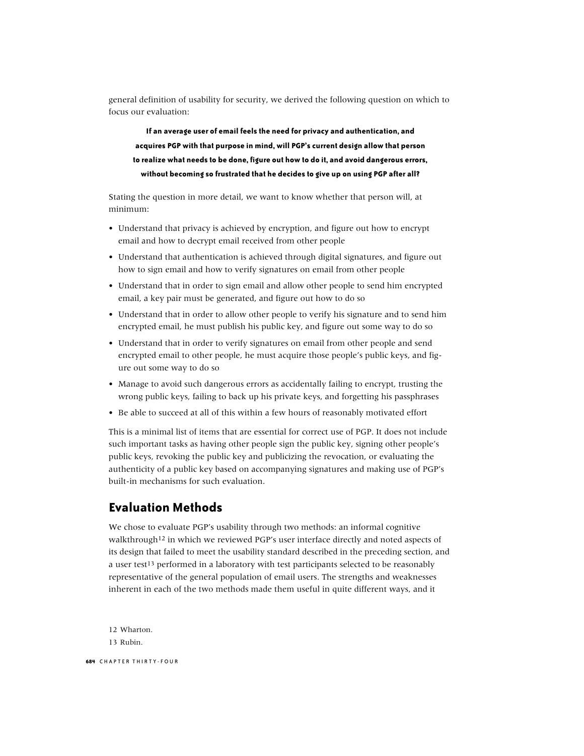general definition of usability for security, we derived the following question on which to focus our evaluation:

**If an average user of email feels the need for privacy and authentication, and acquires PGP with that purpose in mind, will PGP's current design allow that person to realize what needs to be done, figure out how to do it, and avoid dangerous errors, without becoming so frustrated that he decides to give up on using PGP after all?**

Stating the question in more detail, we want to know whether that person will, at minimum:

- Understand that privacy is achieved by encryption, and figure out how to encrypt email and how to decrypt email received from other people
- Understand that authentication is achieved through digital signatures, and figure out how to sign email and how to verify signatures on email from other people
- Understand that in order to sign email and allow other people to send him encrypted email, a key pair must be generated, and figure out how to do so
- Understand that in order to allow other people to verify his signature and to send him encrypted email, he must publish his public key, and figure out some way to do so
- Understand that in order to verify signatures on email from other people and send encrypted email to other people, he must acquire those people's public keys, and figure out some way to do so
- Manage to avoid such dangerous errors as accidentally failing to encrypt, trusting the wrong public keys, failing to back up his private keys, and forgetting his passphrases
- Be able to succeed at all of this within a few hours of reasonably motivated effort

This is a minimal list of items that are essential for correct use of PGP. It does not include such important tasks as having other people sign the public key, signing other people's public keys, revoking the public key and publicizing the revocation, or evaluating the authenticity of a public key based on accompanying signatures and making use of PGP's built-in mechanisms for such evaluation.

# **Evaluation Methods**

We chose to evaluate PGP's usability through two methods: an informal cognitive walkthrough12 in which we reviewed PGP's user interface directly and noted aspects of its design that failed to meet the usability standard described in the preceding section, and a user test<sup>13</sup> performed in a laboratory with test participants selected to be reasonably representative of the general population of email users. The strengths and weaknesses inherent in each of the two methods made them useful in quite different ways, and it

12 Wharton. 13 Rubin.

**684** CHAPTER THIRTY-FOUR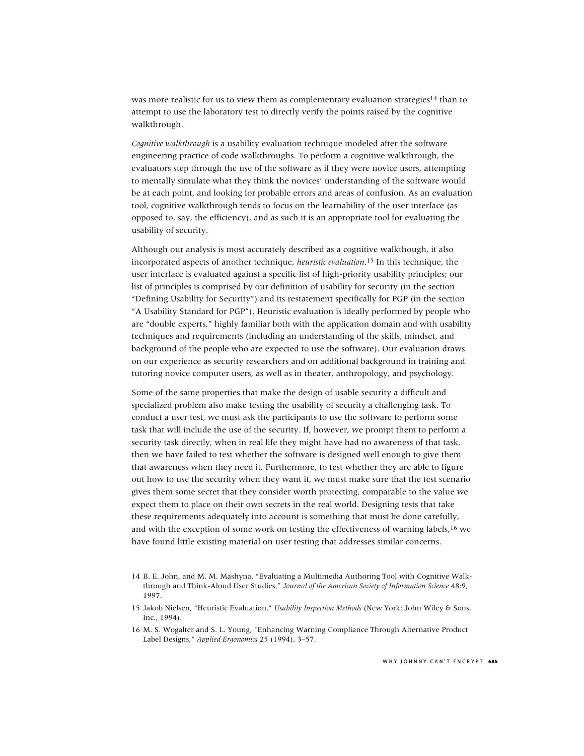was more realistic for us to view them as complementary evaluation strategies<sup>14</sup> than to attempt to use the laboratory test to directly verify the points raised by the cognitive walkthrough.

*Cognitive walkthrough* is a usability evaluation technique modeled after the software engineering practice of code walkthroughs. To perform a cognitive walkthrough, the evaluators step through the use of the software as if they were novice users, attempting to mentally simulate what they think the novices' understanding of the software would be at each point, and looking for probable errors and areas of confusion. As an evaluation tool, cognitive walkthrough tends to focus on the learnability of the user interface (as opposed to, say, the efficiency), and as such it is an appropriate tool for evaluating the usability of security.

Although our analysis is most accurately described as a cognitive walkthough, it also incorporated aspects of another technique, *heuristic evaluation*.15 In this technique, the user interface is evaluated against a specific list of high-priority usability principles; our list of principles is comprised by our definition of usability for security (in the section "Defining Usability for Security") and its restatement specifically for PGP (in the section "A Usability Standard for PGP"). Heuristic evaluation is ideally performed by people who are "double experts," highly familiar both with the application domain and with usability techniques and requirements (including an understanding of the skills, mindset, and background of the people who are expected to use the software). Our evaluation draws on our experience as security researchers and on additional background in training and tutoring novice computer users, as well as in theater, anthropology, and psychology.

Some of the same properties that make the design of usable security a difficult and specialized problem also make testing the usability of security a challenging task. To conduct a user test, we must ask the participants to use the software to perform some task that will include the use of the security. If, however, we prompt them to perform a security task directly, when in real life they might have had no awareness of that task, then we have failed to test whether the software is designed well enough to give them that awareness when they need it. Furthermore, to test whether they are able to figure out how to use the security when they want it, we must make sure that the test scenario gives them some secret that they consider worth protecting, comparable to the value we expect them to place on their own secrets in the real world. Designing tests that take these requirements adequately into account is something that must be done carefully, and with the exception of some work on testing the effectiveness of warning labels,  $16$  we have found little existing material on user testing that addresses similar concerns.

- 15 Jakob Nielsen, "Heuristic Evaluation," *Usability Inspection Methods* (New York: John Wiley & Sons, Inc., 1994).
- 16 M. S. Wogalter and S. L. Young, "Enhancing Warning Compliance Through Alternative Product Label Designs," *Applied Ergonomics* 25 (1994), 3–57.

<sup>14</sup> B. E. John, and M. M. Mashyna, "Evaluating a Multimedia Authoring Tool with Cognitive Walkthrough and Think-Aloud User Studies," *Journal of the American Society of Information Science* 48:9, 1997.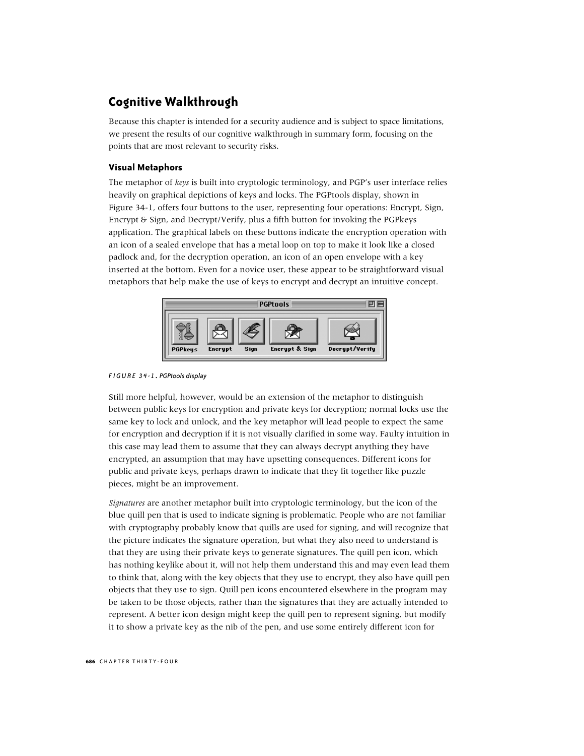# **Cognitive Walkthrough**

Because this chapter is intended for a security audience and is subject to space limitations, we present the results of our cognitive walkthrough in summary form, focusing on the points that are most relevant to security risks.

### **Visual Metaphors**

The metaphor of *keys* is built into cryptologic terminology, and PGP's user interface relies heavily on graphical depictions of keys and locks. The PGPtools display, shown in Figure 34-1, offers four buttons to the user, representing four operations: Encrypt, Sign, Encrypt & Sign, and Decrypt/Verify, plus a fifth button for invoking the PGPkeys application. The graphical labels on these buttons indicate the encryption operation with an icon of a sealed envelope that has a metal loop on top to make it look like a closed padlock and, for the decryption operation, an icon of an open envelope with a key inserted at the bottom. Even for a novice user, these appear to be straightforward visual metaphors that help make the use of keys to encrypt and decrypt an intuitive concept.



#### *FIGURE 34-1* **.** *PGPtools display*

Still more helpful, however, would be an extension of the metaphor to distinguish between public keys for encryption and private keys for decryption; normal locks use the same key to lock and unlock, and the key metaphor will lead people to expect the same for encryption and decryption if it is not visually clarified in some way. Faulty intuition in this case may lead them to assume that they can always decrypt anything they have encrypted, an assumption that may have upsetting consequences. Different icons for public and private keys, perhaps drawn to indicate that they fit together like puzzle pieces, might be an improvement.

*Signatures* are another metaphor built into cryptologic terminology, but the icon of the blue quill pen that is used to indicate signing is problematic. People who are not familiar with cryptography probably know that quills are used for signing, and will recognize that the picture indicates the signature operation, but what they also need to understand is that they are using their private keys to generate signatures. The quill pen icon, which has nothing keylike about it, will not help them understand this and may even lead them to think that, along with the key objects that they use to encrypt, they also have quill pen objects that they use to sign. Quill pen icons encountered elsewhere in the program may be taken to be those objects, rather than the signatures that they are actually intended to represent. A better icon design might keep the quill pen to represent signing, but modify it to show a private key as the nib of the pen, and use some entirely different icon for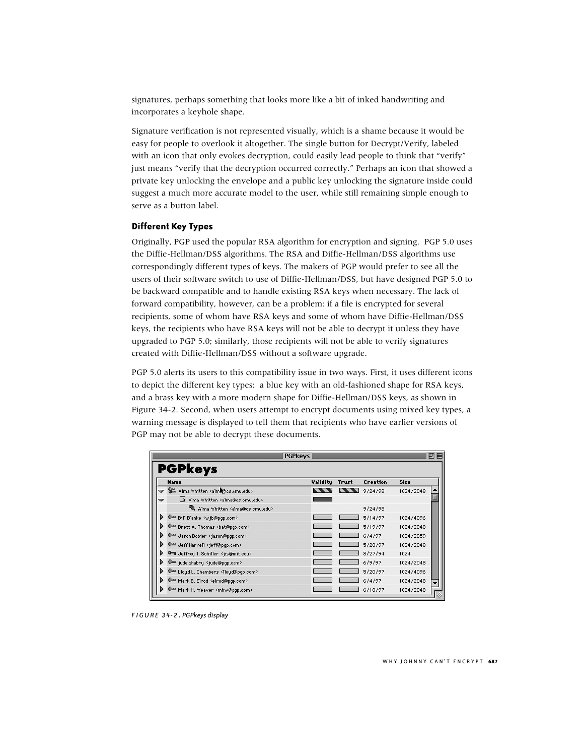signatures, perhaps something that looks more like a bit of inked handwriting and incorporates a keyhole shape.

Signature verification is not represented visually, which is a shame because it would be easy for people to overlook it altogether. The single button for Decrypt/Verify, labeled with an icon that only evokes decryption, could easily lead people to think that "verify" just means "verify that the decryption occurred correctly." Perhaps an icon that showed a private key unlocking the envelope and a public key unlocking the signature inside could suggest a much more accurate model to the user, while still remaining simple enough to serve as a button label.

### **Different Key Types**

Originally, PGP used the popular RSA algorithm for encryption and signing. PGP 5.0 uses the Diffie-Hellman/DSS algorithms. The RSA and Diffie-Hellman/DSS algorithms use correspondingly different types of keys. The makers of PGP would prefer to see all the users of their software switch to use of Diffie-Hellman/DSS, but have designed PGP 5.0 to be backward compatible and to handle existing RSA keys when necessary. The lack of forward compatibility, however, can be a problem: if a file is encrypted for several recipients, some of whom have RSA keys and some of whom have Diffie-Hellman/DSS keys, the recipients who have RSA keys will not be able to decrypt it unless they have upgraded to PGP 5.0; similarly, those recipients will not be able to verify signatures created with Diffie-Hellman/DSS without a software upgrade.

PGP 5.0 alerts its users to this compatibility issue in two ways. First, it uses different icons to depict the different key types: a blue key with an old-fashioned shape for RSA keys, and a brass key with a more modern shape for Diffie-Hellman/DSS keys, as shown in Figure 34-2. Second, when users attempt to encrypt documents using mixed key types, a warning message is displayed to tell them that recipients who have earlier versions of PGP may not be able to decrypt these documents.

| <b>PGPkeys</b> |                                                           |          |       |                 |             | 回目 |  |
|----------------|-----------------------------------------------------------|----------|-------|-----------------|-------------|----|--|
|                | <b>PGPkeys</b>                                            |          |       |                 |             |    |  |
|                | <b>Name</b>                                               | Validity | Trust | <b>Creation</b> | <b>Size</b> |    |  |
| ᇰ              | Alma Whitten <alma@cs.cmu.edu></alma@cs.cmu.edu>          |          |       | 9/24/98         | 1024/2048   |    |  |
| ᇰ              | IУ<br>Alma Whitten <alma@cs.cmu.edu></alma@cs.cmu.edu>    |          |       |                 |             |    |  |
|                | Alma Whitten <alma@cs.cmu.edu></alma@cs.cmu.edu>          |          |       | 9/24/98         |             |    |  |
| ▷              | Om Bill Blanke <wjb@pgp.com></wjb@pgp.com>                |          |       | 5/14/97         | 1024/4096   |    |  |
| ▷              | One Brett A. Thomas <bat@pgp.com></bat@pgp.com>           |          |       | 5/19/97         | 1024/2048   |    |  |
|                | Jason Bobier <jason@pgp.com></jason@pgp.com>              |          |       | 6/4/97          | 1024/2059   |    |  |
| ⋗              | De Jeff Harrell <jeff@pgp.com></jeff@pgp.com>             |          |       | 5/20/97         | 1024/2048   |    |  |
|                | On Jeffrey I. Schiller <jis@mit.edu></jis@mit.edu>        |          |       | 8/27/94         | 1024        |    |  |
| ▷              | <sup>10</sup> jude shabry <jude@pgp.com></jude@pgp.com>   |          |       | 6/9/97          | 1024/2048   |    |  |
| ▷              | Om Lloyd L. Chambers <lloyd@pgp.com></lloyd@pgp.com>      |          |       | 5/20/97         | 1024/4096   |    |  |
|                | The Mark B. Elrod <elrod@pgp.com></elrod@pgp.com>         |          |       | 6/4/97          | 1024/2048   |    |  |
| ▷              | <sup>the Mark H.</sup> Weaver <mhw@pqp.com></mhw@pqp.com> |          |       | 6/10/97         | 1024/2048   |    |  |

*FIGURE 34-2* **.** *PGPkeys display*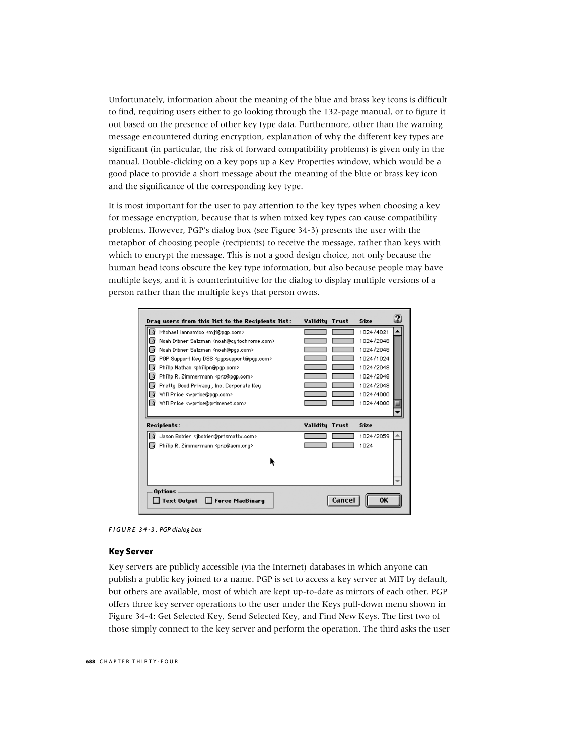Unfortunately, information about the meaning of the blue and brass key icons is difficult to find, requiring users either to go looking through the 132-page manual, or to figure it out based on the presence of other key type data. Furthermore, other than the warning message encountered during encryption, explanation of why the different key types are significant (in particular, the risk of forward compatibility problems) is given only in the manual. Double-clicking on a key pops up a Key Properties window, which would be a good place to provide a short message about the meaning of the blue or brass key icon and the significance of the corresponding key type.

It is most important for the user to pay attention to the key types when choosing a key for message encryption, because that is when mixed key types can cause compatibility problems. However, PGP's dialog box (see Figure 34-3) presents the user with the metaphor of choosing people (recipients) to receive the message, rather than keys with which to encrypt the message. This is not a good design choice, not only because the human head icons obscure the key type information, but also because people may have multiple keys, and it is counterintuitive for the dialog to display multiple versions of a person rather than the multiple keys that person owns.



*FIGURE 34-3* **.** *PGP dialog box*

#### **Key Server**

Key servers are publicly accessible (via the Internet) databases in which anyone can publish a public key joined to a name. PGP is set to access a key server at MIT by default, but others are available, most of which are kept up-to-date as mirrors of each other. PGP offers three key server operations to the user under the Keys pull-down menu shown in Figure 34-4: Get Selected Key, Send Selected Key, and Find New Keys. The first two of those simply connect to the key server and perform the operation. The third asks the user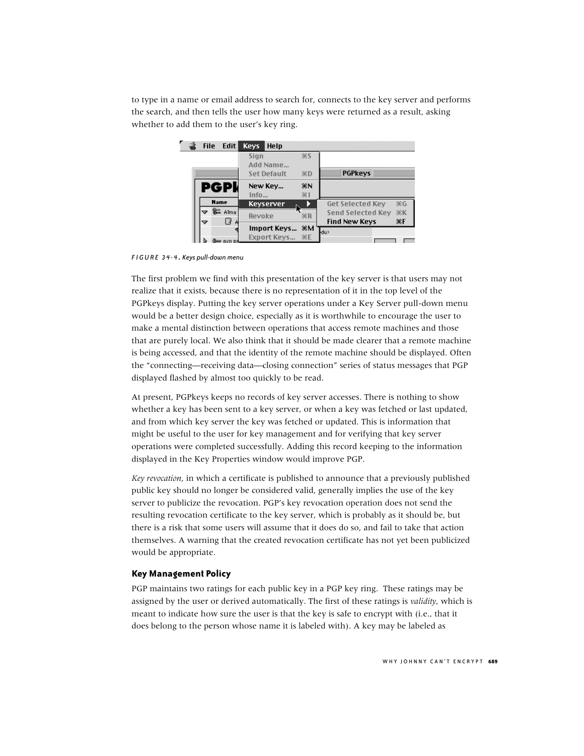to type in a name or email address to search for, connects to the key server and performs the search, and then tells the user how many keys were returned as a result, asking whether to add them to the user's key ring.



*FIGURE 34-4* **.** *Keys pull-down menu*

The first problem we find with this presentation of the key server is that users may not realize that it exists, because there is no representation of it in the top level of the PGPkeys display. Putting the key server operations under a Key Server pull-down menu would be a better design choice, especially as it is worthwhile to encourage the user to make a mental distinction between operations that access remote machines and those that are purely local. We also think that it should be made clearer that a remote machine is being accessed, and that the identity of the remote machine should be displayed. Often the "connecting—receiving data—closing connection" series of status messages that PGP displayed flashed by almost too quickly to be read.

At present, PGPkeys keeps no records of key server accesses. There is nothing to show whether a key has been sent to a key server, or when a key was fetched or last updated, and from which key server the key was fetched or updated. This is information that might be useful to the user for key management and for verifying that key server operations were completed successfully. Adding this record keeping to the information displayed in the Key Properties window would improve PGP.

*Key revocation*, in which a certificate is published to announce that a previously published public key should no longer be considered valid, generally implies the use of the key server to publicize the revocation. PGP's key revocation operation does not send the resulting revocation certificate to the key server, which is probably as it should be, but there is a risk that some users will assume that it does do so, and fail to take that action themselves. A warning that the created revocation certificate has not yet been publicized would be appropriate.

#### **Key Management Policy**

PGP maintains two ratings for each public key in a PGP key ring. These ratings may be assigned by the user or derived automatically. The first of these ratings is *validity*, which is meant to indicate how sure the user is that the key is safe to encrypt with (i.e., that it does belong to the person whose name it is labeled with). A key may be labeled as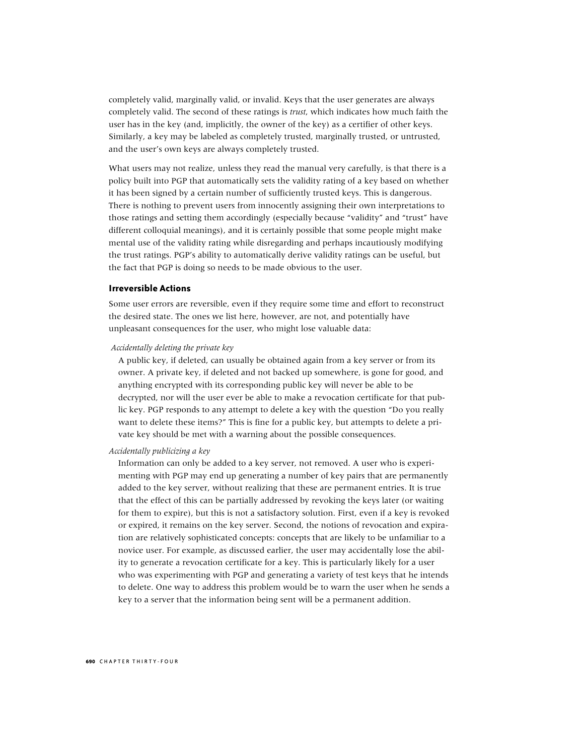completely valid, marginally valid, or invalid. Keys that the user generates are always completely valid. The second of these ratings is *trust*, which indicates how much faith the user has in the key (and, implicitly, the owner of the key) as a certifier of other keys. Similarly, a key may be labeled as completely trusted, marginally trusted, or untrusted, and the user's own keys are always completely trusted.

What users may not realize, unless they read the manual very carefully, is that there is a policy built into PGP that automatically sets the validity rating of a key based on whether it has been signed by a certain number of sufficiently trusted keys. This is dangerous. There is nothing to prevent users from innocently assigning their own interpretations to those ratings and setting them accordingly (especially because "validity" and "trust" have different colloquial meanings), and it is certainly possible that some people might make mental use of the validity rating while disregarding and perhaps incautiously modifying the trust ratings. PGP's ability to automatically derive validity ratings can be useful, but the fact that PGP is doing so needs to be made obvious to the user.

### **Irreversible Actions**

Some user errors are reversible, even if they require some time and effort to reconstruct the desired state. The ones we list here, however, are not, and potentially have unpleasant consequences for the user, who might lose valuable data:

### *Accidentally deleting the private key*

A public key, if deleted, can usually be obtained again from a key server or from its owner. A private key, if deleted and not backed up somewhere, is gone for good, and anything encrypted with its corresponding public key will never be able to be decrypted, nor will the user ever be able to make a revocation certificate for that public key. PGP responds to any attempt to delete a key with the question "Do you really want to delete these items?" This is fine for a public key, but attempts to delete a private key should be met with a warning about the possible consequences.

#### *Accidentally publicizing a key*

Information can only be added to a key server, not removed. A user who is experimenting with PGP may end up generating a number of key pairs that are permanently added to the key server, without realizing that these are permanent entries. It is true that the effect of this can be partially addressed by revoking the keys later (or waiting for them to expire), but this is not a satisfactory solution. First, even if a key is revoked or expired, it remains on the key server. Second, the notions of revocation and expiration are relatively sophisticated concepts: concepts that are likely to be unfamiliar to a novice user. For example, as discussed earlier, the user may accidentally lose the ability to generate a revocation certificate for a key. This is particularly likely for a user who was experimenting with PGP and generating a variety of test keys that he intends to delete. One way to address this problem would be to warn the user when he sends a key to a server that the information being sent will be a permanent addition.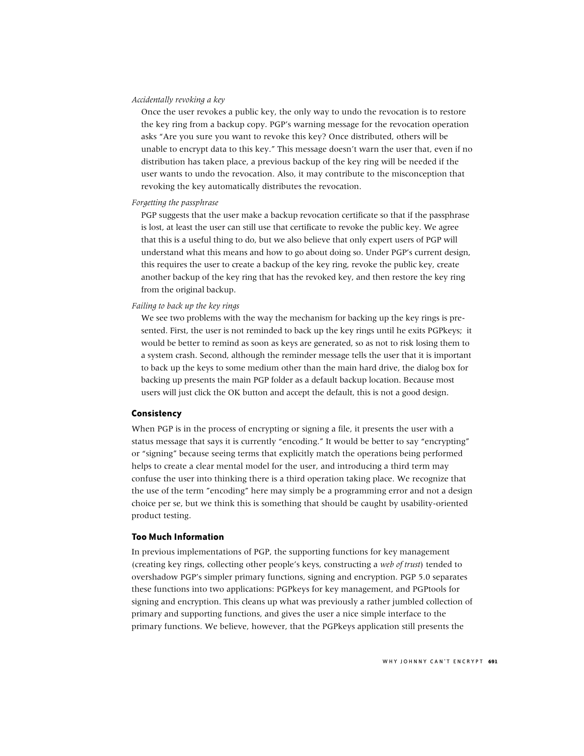### *Accidentally revoking a key*

Once the user revokes a public key, the only way to undo the revocation is to restore the key ring from a backup copy. PGP's warning message for the revocation operation asks "Are you sure you want to revoke this key? Once distributed, others will be unable to encrypt data to this key." This message doesn't warn the user that, even if no distribution has taken place, a previous backup of the key ring will be needed if the user wants to undo the revocation. Also, it may contribute to the misconception that revoking the key automatically distributes the revocation.

#### *Forgetting the passphrase*

PGP suggests that the user make a backup revocation certificate so that if the passphrase is lost, at least the user can still use that certificate to revoke the public key. We agree that this is a useful thing to do, but we also believe that only expert users of PGP will understand what this means and how to go about doing so. Under PGP's current design, this requires the user to create a backup of the key ring, revoke the public key, create another backup of the key ring that has the revoked key, and then restore the key ring from the original backup.

#### *Failing to back up the key rings*

We see two problems with the way the mechanism for backing up the key rings is presented. First, the user is not reminded to back up the key rings until he exits PGPkeys; it would be better to remind as soon as keys are generated, so as not to risk losing them to a system crash. Second, although the reminder message tells the user that it is important to back up the keys to some medium other than the main hard drive, the dialog box for backing up presents the main PGP folder as a default backup location. Because most users will just click the OK button and accept the default, this is not a good design.

### **Consistency**

When PGP is in the process of encrypting or signing a file, it presents the user with a status message that says it is currently "encoding." It would be better to say "encrypting" or "signing" because seeing terms that explicitly match the operations being performed helps to create a clear mental model for the user, and introducing a third term may confuse the user into thinking there is a third operation taking place. We recognize that the use of the term "encoding" here may simply be a programming error and not a design choice per se, but we think this is something that should be caught by usability-oriented product testing.

#### **Too Much Information**

In previous implementations of PGP, the supporting functions for key management (creating key rings, collecting other people's keys, constructing a *web of trust*) tended to overshadow PGP's simpler primary functions, signing and encryption. PGP 5.0 separates these functions into two applications: PGPkeys for key management, and PGPtools for signing and encryption. This cleans up what was previously a rather jumbled collection of primary and supporting functions, and gives the user a nice simple interface to the primary functions. We believe, however, that the PGPkeys application still presents the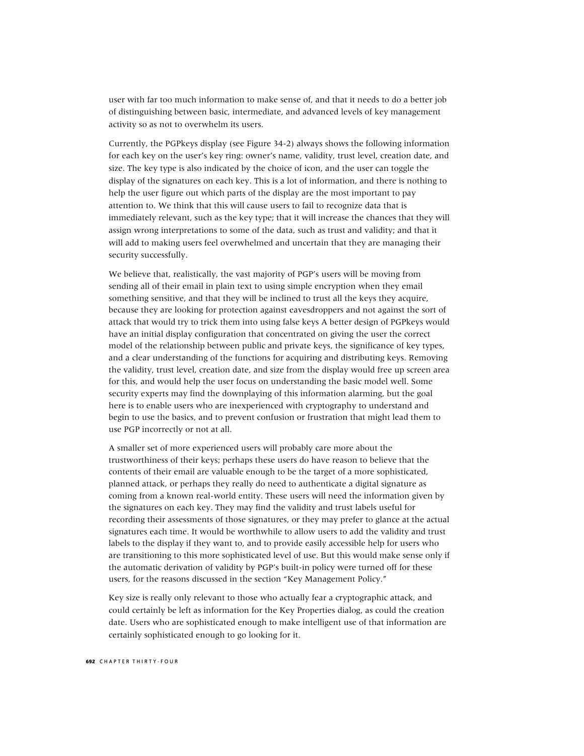user with far too much information to make sense of, and that it needs to do a better job of distinguishing between basic, intermediate, and advanced levels of key management activity so as not to overwhelm its users.

Currently, the PGPkeys display (see Figure 34-2) always shows the following information for each key on the user's key ring: owner's name, validity, trust level, creation date, and size. The key type is also indicated by the choice of icon, and the user can toggle the display of the signatures on each key. This is a lot of information, and there is nothing to help the user figure out which parts of the display are the most important to pay attention to. We think that this will cause users to fail to recognize data that is immediately relevant, such as the key type; that it will increase the chances that they will assign wrong interpretations to some of the data, such as trust and validity; and that it will add to making users feel overwhelmed and uncertain that they are managing their security successfully.

We believe that, realistically, the vast majority of PGP's users will be moving from sending all of their email in plain text to using simple encryption when they email something sensitive, and that they will be inclined to trust all the keys they acquire, because they are looking for protection against eavesdroppers and not against the sort of attack that would try to trick them into using false keys A better design of PGPkeys would have an initial display configuration that concentrated on giving the user the correct model of the relationship between public and private keys, the significance of key types, and a clear understanding of the functions for acquiring and distributing keys. Removing the validity, trust level, creation date, and size from the display would free up screen area for this, and would help the user focus on understanding the basic model well. Some security experts may find the downplaying of this information alarming, but the goal here is to enable users who are inexperienced with cryptography to understand and begin to use the basics, and to prevent confusion or frustration that might lead them to use PGP incorrectly or not at all.

A smaller set of more experienced users will probably care more about the trustworthiness of their keys; perhaps these users do have reason to believe that the contents of their email are valuable enough to be the target of a more sophisticated, planned attack, or perhaps they really do need to authenticate a digital signature as coming from a known real-world entity. These users will need the information given by the signatures on each key. They may find the validity and trust labels useful for recording their assessments of those signatures, or they may prefer to glance at the actual signatures each time. It would be worthwhile to allow users to add the validity and trust labels to the display if they want to, and to provide easily accessible help for users who are transitioning to this more sophisticated level of use. But this would make sense only if the automatic derivation of validity by PGP's built-in policy were turned off for these users, for the reasons discussed in the section "Key Management Policy."

Key size is really only relevant to those who actually fear a cryptographic attack, and could certainly be left as information for the Key Properties dialog, as could the creation date. Users who are sophisticated enough to make intelligent use of that information are certainly sophisticated enough to go looking for it.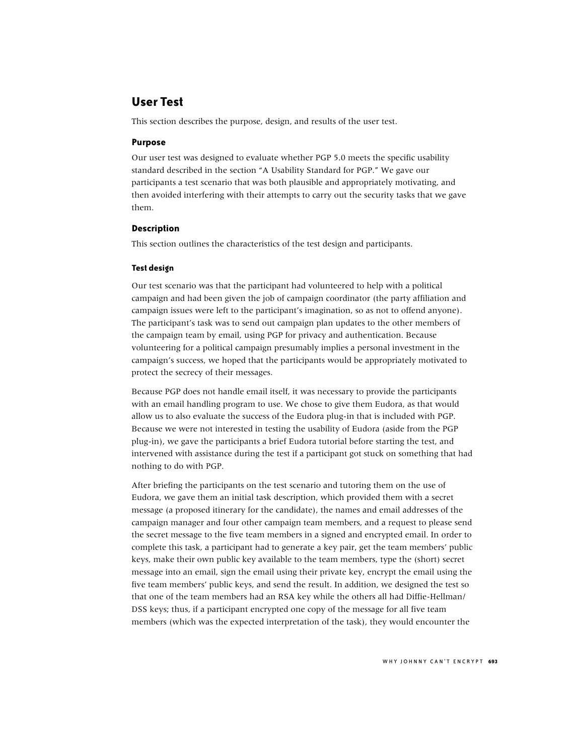# **User Test**

This section describes the purpose, design, and results of the user test.

### **Purpose**

Our user test was designed to evaluate whether PGP 5.0 meets the specific usability standard described in the section "A Usability Standard for PGP." We gave our participants a test scenario that was both plausible and appropriately motivating, and then avoided interfering with their attempts to carry out the security tasks that we gave them.

### **Description**

This section outlines the characteristics of the test design and participants.

#### **Test design**

Our test scenario was that the participant had volunteered to help with a political campaign and had been given the job of campaign coordinator (the party affiliation and campaign issues were left to the participant's imagination, so as not to offend anyone). The participant's task was to send out campaign plan updates to the other members of the campaign team by email, using PGP for privacy and authentication. Because volunteering for a political campaign presumably implies a personal investment in the campaign's success, we hoped that the participants would be appropriately motivated to protect the secrecy of their messages.

Because PGP does not handle email itself, it was necessary to provide the participants with an email handling program to use. We chose to give them Eudora, as that would allow us to also evaluate the success of the Eudora plug-in that is included with PGP. Because we were not interested in testing the usability of Eudora (aside from the PGP plug-in), we gave the participants a brief Eudora tutorial before starting the test, and intervened with assistance during the test if a participant got stuck on something that had nothing to do with PGP.

After briefing the participants on the test scenario and tutoring them on the use of Eudora, we gave them an initial task description, which provided them with a secret message (a proposed itinerary for the candidate), the names and email addresses of the campaign manager and four other campaign team members, and a request to please send the secret message to the five team members in a signed and encrypted email. In order to complete this task, a participant had to generate a key pair, get the team members' public keys, make their own public key available to the team members, type the (short) secret message into an email, sign the email using their private key, encrypt the email using the five team members' public keys, and send the result. In addition, we designed the test so that one of the team members had an RSA key while the others all had Diffie-Hellman/ DSS keys; thus, if a participant encrypted one copy of the message for all five team members (which was the expected interpretation of the task), they would encounter the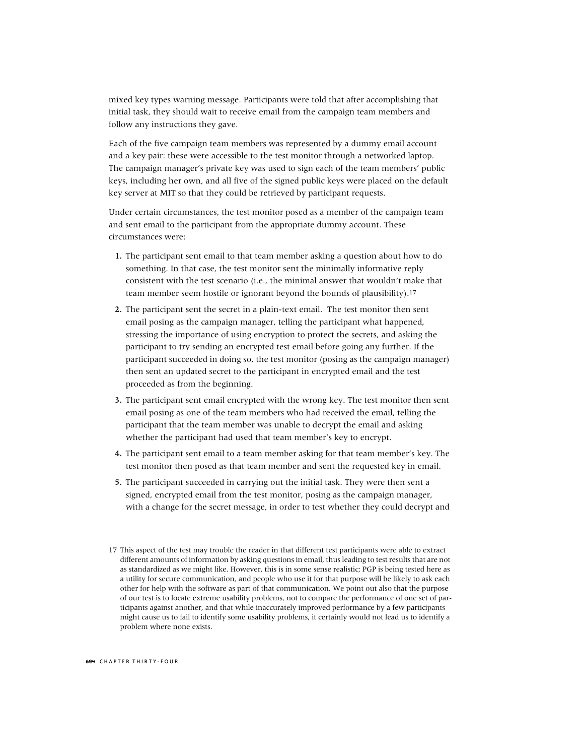mixed key types warning message. Participants were told that after accomplishing that initial task, they should wait to receive email from the campaign team members and follow any instructions they gave.

Each of the five campaign team members was represented by a dummy email account and a key pair: these were accessible to the test monitor through a networked laptop. The campaign manager's private key was used to sign each of the team members' public keys, including her own, and all five of the signed public keys were placed on the default key server at MIT so that they could be retrieved by participant requests.

Under certain circumstances, the test monitor posed as a member of the campaign team and sent email to the participant from the appropriate dummy account. These circumstances were:

- 1. The participant sent email to that team member asking a question about how to do something. In that case, the test monitor sent the minimally informative reply consistent with the test scenario (i.e., the minimal answer that wouldn't make that team member seem hostile or ignorant beyond the bounds of plausibility).17
- 2. The participant sent the secret in a plain-text email. The test monitor then sent email posing as the campaign manager, telling the participant what happened, stressing the importance of using encryption to protect the secrets, and asking the participant to try sending an encrypted test email before going any further. If the participant succeeded in doing so, the test monitor (posing as the campaign manager) then sent an updated secret to the participant in encrypted email and the test proceeded as from the beginning.
- 3. The participant sent email encrypted with the wrong key. The test monitor then sent email posing as one of the team members who had received the email, telling the participant that the team member was unable to decrypt the email and asking whether the participant had used that team member's key to encrypt.
- 4. The participant sent email to a team member asking for that team member's key. The test monitor then posed as that team member and sent the requested key in email.
- 5. The participant succeeded in carrying out the initial task. They were then sent a signed, encrypted email from the test monitor, posing as the campaign manager, with a change for the secret message, in order to test whether they could decrypt and

<sup>17</sup> This aspect of the test may trouble the reader in that different test participants were able to extract different amounts of information by asking questions in email, thus leading to test results that are not as standardized as we might like. However, this is in some sense realistic; PGP is being tested here as a utility for secure communication, and people who use it for that purpose will be likely to ask each other for help with the software as part of that communication. We point out also that the purpose of our test is to locate extreme usability problems, not to compare the performance of one set of participants against another, and that while inaccurately improved performance by a few participants might cause us to fail to identify some usability problems, it certainly would not lead us to identify a problem where none exists.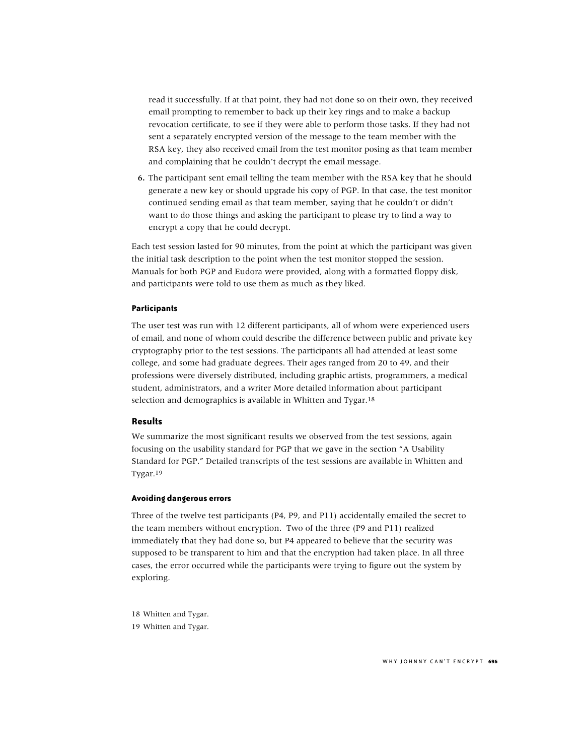read it successfully. If at that point, they had not done so on their own, they received email prompting to remember to back up their key rings and to make a backup revocation certificate, to see if they were able to perform those tasks. If they had not sent a separately encrypted version of the message to the team member with the RSA key, they also received email from the test monitor posing as that team member and complaining that he couldn't decrypt the email message.

6. The participant sent email telling the team member with the RSA key that he should generate a new key or should upgrade his copy of PGP. In that case, the test monitor continued sending email as that team member, saying that he couldn't or didn't want to do those things and asking the participant to please try to find a way to encrypt a copy that he could decrypt.

Each test session lasted for 90 minutes, from the point at which the participant was given the initial task description to the point when the test monitor stopped the session. Manuals for both PGP and Eudora were provided, along with a formatted floppy disk, and participants were told to use them as much as they liked.

### **Participants**

The user test was run with 12 different participants, all of whom were experienced users of email, and none of whom could describe the difference between public and private key cryptography prior to the test sessions. The participants all had attended at least some college, and some had graduate degrees. Their ages ranged from 20 to 49, and their professions were diversely distributed, including graphic artists, programmers, a medical student, administrators, and a writer More detailed information about participant selection and demographics is available in Whitten and Tygar.18

#### **Results**

We summarize the most significant results we observed from the test sessions, again focusing on the usability standard for PGP that we gave in the section "A Usability Standard for PGP." Detailed transcripts of the test sessions are available in Whitten and Tygar.19

#### **Avoiding dangerous errors**

Three of the twelve test participants (P4, P9, and P11) accidentally emailed the secret to the team members without encryption. Two of the three (P9 and P11) realized immediately that they had done so, but P4 appeared to believe that the security was supposed to be transparent to him and that the encryption had taken place. In all three cases, the error occurred while the participants were trying to figure out the system by exploring.

- 18 Whitten and Tygar.
- 19 Whitten and Tygar.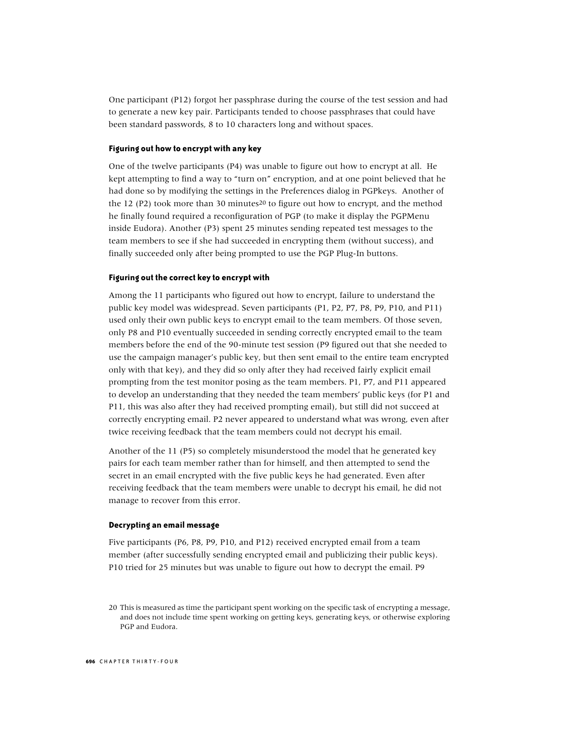One participant (P12) forgot her passphrase during the course of the test session and had to generate a new key pair. Participants tended to choose passphrases that could have been standard passwords, 8 to 10 characters long and without spaces.

#### **Figuring out how to encrypt with any key**

One of the twelve participants (P4) was unable to figure out how to encrypt at all. He kept attempting to find a way to "turn on" encryption, and at one point believed that he had done so by modifying the settings in the Preferences dialog in PGPkeys. Another of the 12 (P2) took more than 30 minutes<sup>20</sup> to figure out how to encrypt, and the method he finally found required a reconfiguration of PGP (to make it display the PGPMenu inside Eudora). Another (P3) spent 25 minutes sending repeated test messages to the team members to see if she had succeeded in encrypting them (without success), and finally succeeded only after being prompted to use the PGP Plug-In buttons.

#### **Figuring out the correct key to encrypt with**

Among the 11 participants who figured out how to encrypt, failure to understand the public key model was widespread. Seven participants (P1, P2, P7, P8, P9, P10, and P11) used only their own public keys to encrypt email to the team members. Of those seven, only P8 and P10 eventually succeeded in sending correctly encrypted email to the team members before the end of the 90-minute test session (P9 figured out that she needed to use the campaign manager's public key, but then sent email to the entire team encrypted only with that key), and they did so only after they had received fairly explicit email prompting from the test monitor posing as the team members. P1, P7, and P11 appeared to develop an understanding that they needed the team members' public keys (for P1 and P11, this was also after they had received prompting email), but still did not succeed at correctly encrypting email. P2 never appeared to understand what was wrong, even after twice receiving feedback that the team members could not decrypt his email.

Another of the 11 (P5) so completely misunderstood the model that he generated key pairs for each team member rather than for himself, and then attempted to send the secret in an email encrypted with the five public keys he had generated. Even after receiving feedback that the team members were unable to decrypt his email, he did not manage to recover from this error.

### **Decrypting an email message**

Five participants (P6, P8, P9, P10, and P12) received encrypted email from a team member (after successfully sending encrypted email and publicizing their public keys). P10 tried for 25 minutes but was unable to figure out how to decrypt the email. P9

**696** CHAPTER THIRTY-FOUR

<sup>20</sup> This is measured as time the participant spent working on the specific task of encrypting a message, and does not include time spent working on getting keys, generating keys, or otherwise exploring PGP and Eudora.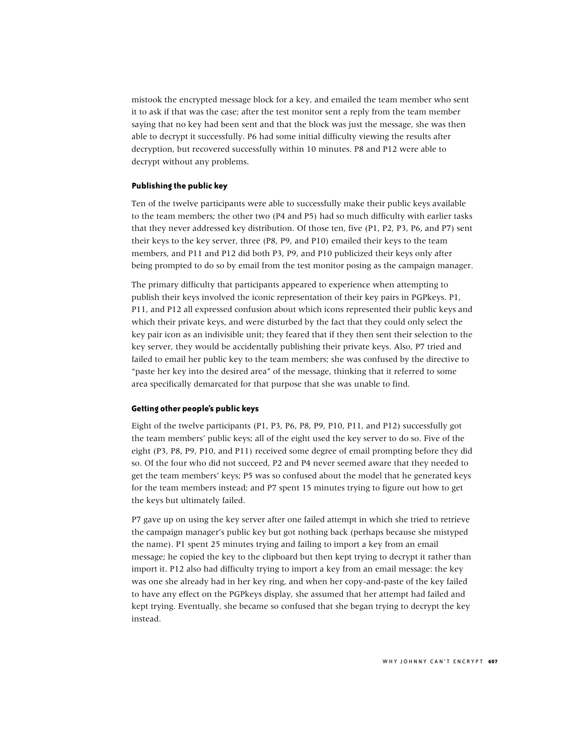mistook the encrypted message block for a key, and emailed the team member who sent it to ask if that was the case; after the test monitor sent a reply from the team member saying that no key had been sent and that the block was just the message, she was then able to decrypt it successfully. P6 had some initial difficulty viewing the results after decryption, but recovered successfully within 10 minutes. P8 and P12 were able to decrypt without any problems.

#### **Publishing the public key**

Ten of the twelve participants were able to successfully make their public keys available to the team members; the other two (P4 and P5) had so much difficulty with earlier tasks that they never addressed key distribution. Of those ten, five (P1, P2, P3, P6, and P7) sent their keys to the key server, three (P8, P9, and P10) emailed their keys to the team members, and P11 and P12 did both P3, P9, and P10 publicized their keys only after being prompted to do so by email from the test monitor posing as the campaign manager.

The primary difficulty that participants appeared to experience when attempting to publish their keys involved the iconic representation of their key pairs in PGPkeys. P1, P11, and P12 all expressed confusion about which icons represented their public keys and which their private keys, and were disturbed by the fact that they could only select the key pair icon as an indivisible unit; they feared that if they then sent their selection to the key server, they would be accidentally publishing their private keys. Also, P7 tried and failed to email her public key to the team members; she was confused by the directive to "paste her key into the desired area" of the message, thinking that it referred to some area specifically demarcated for that purpose that she was unable to find.

#### **Getting other people's public keys**

Eight of the twelve participants (P1, P3, P6, P8, P9, P10, P11, and P12) successfully got the team members' public keys; all of the eight used the key server to do so. Five of the eight (P3, P8, P9, P10, and P11) received some degree of email prompting before they did so. Of the four who did not succeed, P2 and P4 never seemed aware that they needed to get the team members' keys; P5 was so confused about the model that he generated keys for the team members instead; and P7 spent 15 minutes trying to figure out how to get the keys but ultimately failed.

P7 gave up on using the key server after one failed attempt in which she tried to retrieve the campaign manager's public key but got nothing back (perhaps because she mistyped the name). P1 spent 25 minutes trying and failing to import a key from an email message; he copied the key to the clipboard but then kept trying to decrypt it rather than import it. P12 also had difficulty trying to import a key from an email message: the key was one she already had in her key ring, and when her copy-and-paste of the key failed to have any effect on the PGPkeys display, she assumed that her attempt had failed and kept trying. Eventually, she became so confused that she began trying to decrypt the key instead.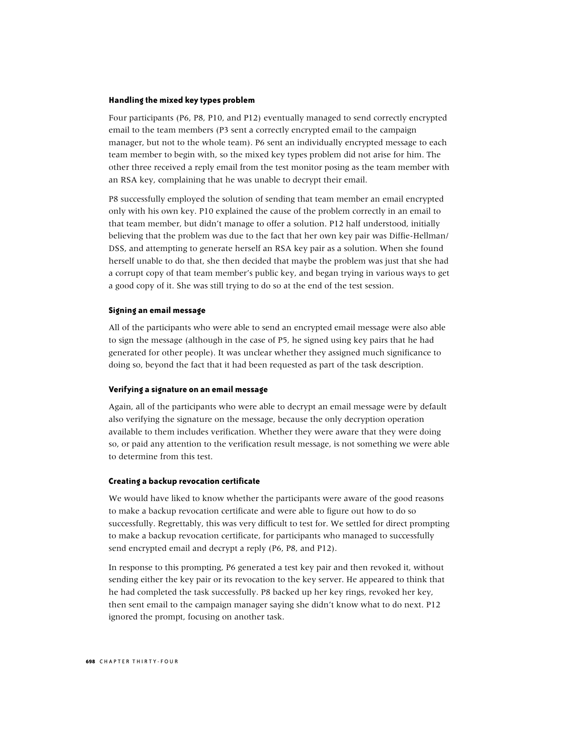#### **Handling the mixed key types problem**

Four participants (P6, P8, P10, and P12) eventually managed to send correctly encrypted email to the team members (P3 sent a correctly encrypted email to the campaign manager, but not to the whole team). P6 sent an individually encrypted message to each team member to begin with, so the mixed key types problem did not arise for him. The other three received a reply email from the test monitor posing as the team member with an RSA key, complaining that he was unable to decrypt their email.

P8 successfully employed the solution of sending that team member an email encrypted only with his own key. P10 explained the cause of the problem correctly in an email to that team member, but didn't manage to offer a solution. P12 half understood, initially believing that the problem was due to the fact that her own key pair was Diffie-Hellman/ DSS, and attempting to generate herself an RSA key pair as a solution. When she found herself unable to do that, she then decided that maybe the problem was just that she had a corrupt copy of that team member's public key, and began trying in various ways to get a good copy of it. She was still trying to do so at the end of the test session.

### **Signing an email message**

All of the participants who were able to send an encrypted email message were also able to sign the message (although in the case of P5, he signed using key pairs that he had generated for other people). It was unclear whether they assigned much significance to doing so, beyond the fact that it had been requested as part of the task description.

#### **Verifying a signature on an email message**

Again, all of the participants who were able to decrypt an email message were by default also verifying the signature on the message, because the only decryption operation available to them includes verification. Whether they were aware that they were doing so, or paid any attention to the verification result message, is not something we were able to determine from this test.

#### **Creating a backup revocation certificate**

We would have liked to know whether the participants were aware of the good reasons to make a backup revocation certificate and were able to figure out how to do so successfully. Regrettably, this was very difficult to test for. We settled for direct prompting to make a backup revocation certificate, for participants who managed to successfully send encrypted email and decrypt a reply (P6, P8, and P12).

In response to this prompting, P6 generated a test key pair and then revoked it, without sending either the key pair or its revocation to the key server. He appeared to think that he had completed the task successfully. P8 backed up her key rings, revoked her key, then sent email to the campaign manager saying she didn't know what to do next. P12 ignored the prompt, focusing on another task.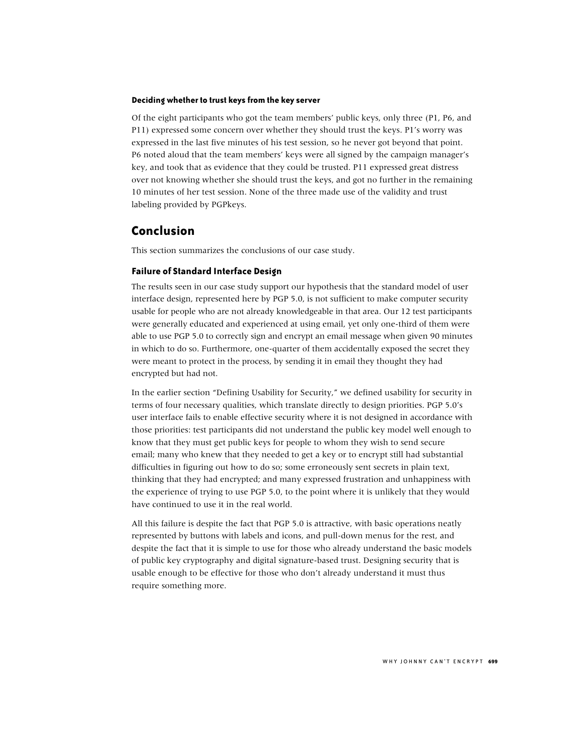#### **Deciding whether to trust keys from the key server**

Of the eight participants who got the team members' public keys, only three (P1, P6, and P11) expressed some concern over whether they should trust the keys. P1's worry was expressed in the last five minutes of his test session, so he never got beyond that point. P6 noted aloud that the team members' keys were all signed by the campaign manager's key, and took that as evidence that they could be trusted. P11 expressed great distress over not knowing whether she should trust the keys, and got no further in the remaining 10 minutes of her test session. None of the three made use of the validity and trust labeling provided by PGPkeys.

# **Conclusion**

This section summarizes the conclusions of our case study.

### **Failure of Standard Interface Design**

The results seen in our case study support our hypothesis that the standard model of user interface design, represented here by PGP 5.0, is not sufficient to make computer security usable for people who are not already knowledgeable in that area. Our 12 test participants were generally educated and experienced at using email, yet only one-third of them were able to use PGP 5.0 to correctly sign and encrypt an email message when given 90 minutes in which to do so. Furthermore, one-quarter of them accidentally exposed the secret they were meant to protect in the process, by sending it in email they thought they had encrypted but had not.

In the earlier section "Defining Usability for Security," we defined usability for security in terms of four necessary qualities, which translate directly to design priorities. PGP 5.0's user interface fails to enable effective security where it is not designed in accordance with those priorities: test participants did not understand the public key model well enough to know that they must get public keys for people to whom they wish to send secure email; many who knew that they needed to get a key or to encrypt still had substantial difficulties in figuring out how to do so; some erroneously sent secrets in plain text, thinking that they had encrypted; and many expressed frustration and unhappiness with the experience of trying to use PGP 5.0, to the point where it is unlikely that they would have continued to use it in the real world.

All this failure is despite the fact that PGP 5.0 is attractive, with basic operations neatly represented by buttons with labels and icons, and pull-down menus for the rest, and despite the fact that it is simple to use for those who already understand the basic models of public key cryptography and digital signature-based trust. Designing security that is usable enough to be effective for those who don't already understand it must thus require something more.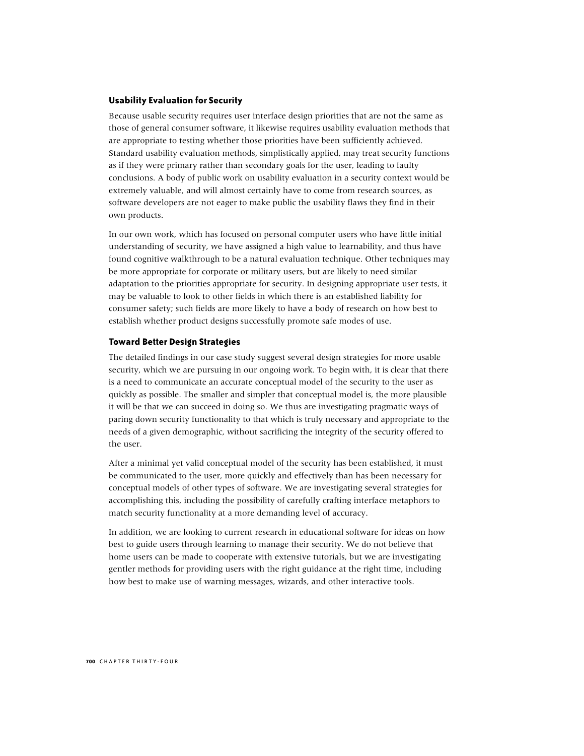#### **Usability Evaluation for Security**

Because usable security requires user interface design priorities that are not the same as those of general consumer software, it likewise requires usability evaluation methods that are appropriate to testing whether those priorities have been sufficiently achieved. Standard usability evaluation methods, simplistically applied, may treat security functions as if they were primary rather than secondary goals for the user, leading to faulty conclusions. A body of public work on usability evaluation in a security context would be extremely valuable, and will almost certainly have to come from research sources, as software developers are not eager to make public the usability flaws they find in their own products.

In our own work, which has focused on personal computer users who have little initial understanding of security, we have assigned a high value to learnability, and thus have found cognitive walkthrough to be a natural evaluation technique. Other techniques may be more appropriate for corporate or military users, but are likely to need similar adaptation to the priorities appropriate for security. In designing appropriate user tests, it may be valuable to look to other fields in which there is an established liability for consumer safety; such fields are more likely to have a body of research on how best to establish whether product designs successfully promote safe modes of use.

#### **Toward Better Design Strategies**

The detailed findings in our case study suggest several design strategies for more usable security, which we are pursuing in our ongoing work. To begin with, it is clear that there is a need to communicate an accurate conceptual model of the security to the user as quickly as possible. The smaller and simpler that conceptual model is, the more plausible it will be that we can succeed in doing so. We thus are investigating pragmatic ways of paring down security functionality to that which is truly necessary and appropriate to the needs of a given demographic, without sacrificing the integrity of the security offered to the user.

After a minimal yet valid conceptual model of the security has been established, it must be communicated to the user, more quickly and effectively than has been necessary for conceptual models of other types of software. We are investigating several strategies for accomplishing this, including the possibility of carefully crafting interface metaphors to match security functionality at a more demanding level of accuracy.

In addition, we are looking to current research in educational software for ideas on how best to guide users through learning to manage their security. We do not believe that home users can be made to cooperate with extensive tutorials, but we are investigating gentler methods for providing users with the right guidance at the right time, including how best to make use of warning messages, wizards, and other interactive tools.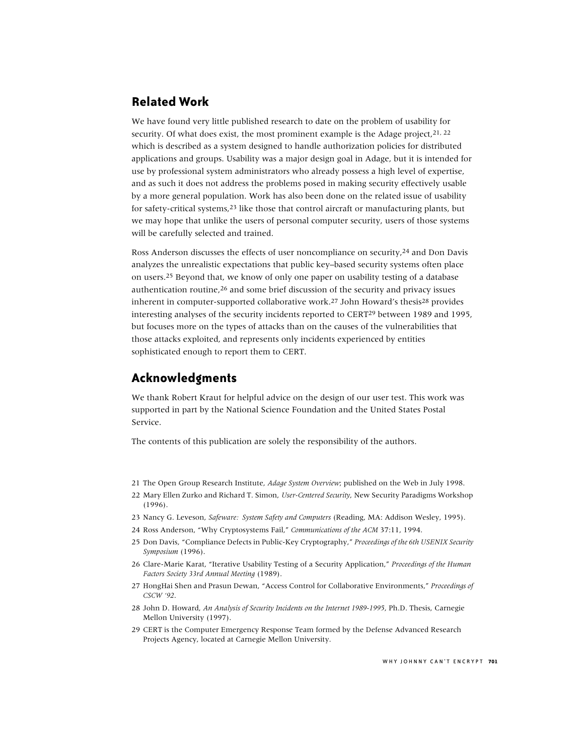# **Related Work**

We have found very little published research to date on the problem of usability for security. Of what does exist, the most prominent example is the Adage project,  $2^{1}$ ,  $2^{2}$ which is described as a system designed to handle authorization policies for distributed applications and groups. Usability was a major design goal in Adage, but it is intended for use by professional system administrators who already possess a high level of expertise, and as such it does not address the problems posed in making security effectively usable by a more general population. Work has also been done on the related issue of usability for safety-critical systems,<sup>23</sup> like those that control aircraft or manufacturing plants, but we may hope that unlike the users of personal computer security, users of those systems will be carefully selected and trained.

Ross Anderson discusses the effects of user noncompliance on security,24 and Don Davis analyzes the unrealistic expectations that public key–based security systems often place on users.25 Beyond that, we know of only one paper on usability testing of a database authentication routine,26 and some brief discussion of the security and privacy issues inherent in computer-supported collaborative work.27 John Howard's thesis28 provides interesting analyses of the security incidents reported to CERT29 between 1989 and 1995, but focuses more on the types of attacks than on the causes of the vulnerabilities that those attacks exploited, and represents only incidents experienced by entities sophisticated enough to report them to CERT.

# **Acknowledgments**

We thank Robert Kraut for helpful advice on the design of our user test. This work was supported in part by the National Science Foundation and the United States Postal Service.

The contents of this publication are solely the responsibility of the authors.

- 21 The Open Group Research Institute, *Adage System Overview*; published on the Web in July 1998.
- 22 Mary Ellen Zurko and Richard T. Simon, *User-Centered Security*, New Security Paradigms Workshop (1996).
- 23 Nancy G. Leveson, *Safeware: System Safety and Computers* (Reading, MA: Addison Wesley, 1995).
- 24 Ross Anderson, "Why Cryptosystems Fail," *Communications of the ACM* 37:11, 1994.
- 25 Don Davis, "Compliance Defects in Public-Key Cryptography," *Proceedings of the 6th USENIX Security Symposium* (1996).
- 26 Clare-Marie Karat, "Iterative Usability Testing of a Security Application," *Proceedings of the Human Factors Society 33rd Annual Meeting* (1989).
- 27 HongHai Shen and Prasun Dewan, "Access Control for Collaborative Environments," *Proceedings of CSCW '92*.
- 28 John D. Howard, *An Analysis of Security Incidents on the Internet 1989-1995*, Ph.D. Thesis, Carnegie Mellon University (1997).
- 29 CERT is the Computer Emergency Response Team formed by the Defense Advanced Research Projects Agency, located at Carnegie Mellon University.